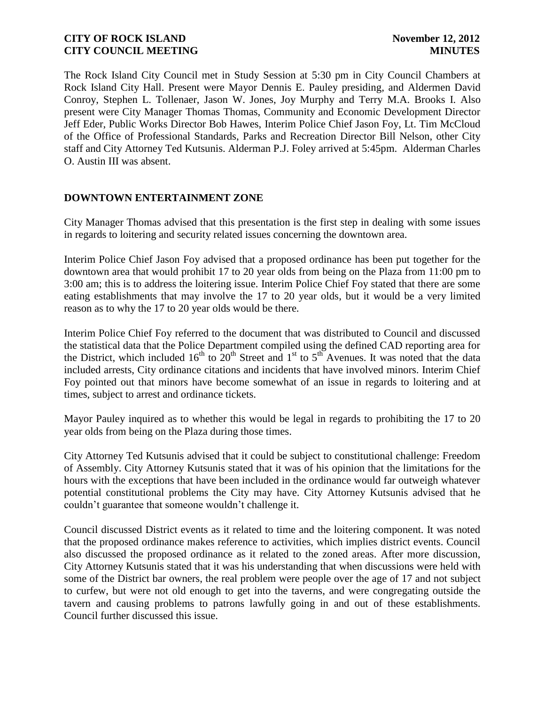The Rock Island City Council met in Study Session at 5:30 pm in City Council Chambers at Rock Island City Hall. Present were Mayor Dennis E. Pauley presiding, and Aldermen David Conroy, Stephen L. Tollenaer, Jason W. Jones, Joy Murphy and Terry M.A. Brooks I. Also present were City Manager Thomas Thomas, Community and Economic Development Director Jeff Eder, Public Works Director Bob Hawes, Interim Police Chief Jason Foy, Lt. Tim McCloud of the Office of Professional Standards, Parks and Recreation Director Bill Nelson, other City staff and City Attorney Ted Kutsunis. Alderman P.J. Foley arrived at 5:45pm. Alderman Charles O. Austin III was absent.

# **DOWNTOWN ENTERTAINMENT ZONE**

City Manager Thomas advised that this presentation is the first step in dealing with some issues in regards to loitering and security related issues concerning the downtown area.

Interim Police Chief Jason Foy advised that a proposed ordinance has been put together for the downtown area that would prohibit 17 to 20 year olds from being on the Plaza from 11:00 pm to 3:00 am; this is to address the loitering issue. Interim Police Chief Foy stated that there are some eating establishments that may involve the 17 to 20 year olds, but it would be a very limited reason as to why the 17 to 20 year olds would be there.

Interim Police Chief Foy referred to the document that was distributed to Council and discussed the statistical data that the Police Department compiled using the defined CAD reporting area for the District, which included  $16<sup>th</sup>$  to  $20<sup>th</sup>$  Street and  $1<sup>st</sup>$  to  $5<sup>th</sup>$  Avenues. It was noted that the data included arrests, City ordinance citations and incidents that have involved minors. Interim Chief Foy pointed out that minors have become somewhat of an issue in regards to loitering and at times, subject to arrest and ordinance tickets.

Mayor Pauley inquired as to whether this would be legal in regards to prohibiting the 17 to 20 year olds from being on the Plaza during those times.

City Attorney Ted Kutsunis advised that it could be subject to constitutional challenge: Freedom of Assembly. City Attorney Kutsunis stated that it was of his opinion that the limitations for the hours with the exceptions that have been included in the ordinance would far outweigh whatever potential constitutional problems the City may have. City Attorney Kutsunis advised that he couldn't guarantee that someone wouldn't challenge it.

Council discussed District events as it related to time and the loitering component. It was noted that the proposed ordinance makes reference to activities, which implies district events. Council also discussed the proposed ordinance as it related to the zoned areas. After more discussion, City Attorney Kutsunis stated that it was his understanding that when discussions were held with some of the District bar owners, the real problem were people over the age of 17 and not subject to curfew, but were not old enough to get into the taverns, and were congregating outside the tavern and causing problems to patrons lawfully going in and out of these establishments. Council further discussed this issue.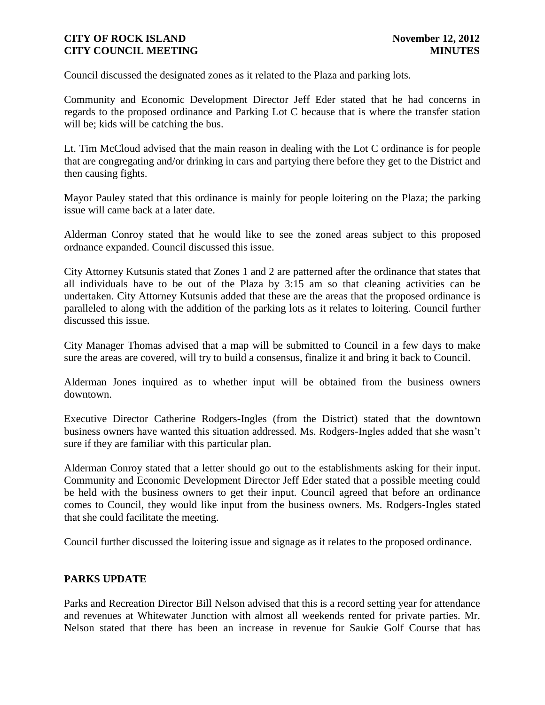Council discussed the designated zones as it related to the Plaza and parking lots.

Community and Economic Development Director Jeff Eder stated that he had concerns in regards to the proposed ordinance and Parking Lot C because that is where the transfer station will be; kids will be catching the bus.

Lt. Tim McCloud advised that the main reason in dealing with the Lot C ordinance is for people that are congregating and/or drinking in cars and partying there before they get to the District and then causing fights.

Mayor Pauley stated that this ordinance is mainly for people loitering on the Plaza; the parking issue will came back at a later date.

Alderman Conroy stated that he would like to see the zoned areas subject to this proposed ordnance expanded. Council discussed this issue.

City Attorney Kutsunis stated that Zones 1 and 2 are patterned after the ordinance that states that all individuals have to be out of the Plaza by 3:15 am so that cleaning activities can be undertaken. City Attorney Kutsunis added that these are the areas that the proposed ordinance is paralleled to along with the addition of the parking lots as it relates to loitering. Council further discussed this issue.

City Manager Thomas advised that a map will be submitted to Council in a few days to make sure the areas are covered, will try to build a consensus, finalize it and bring it back to Council.

Alderman Jones inquired as to whether input will be obtained from the business owners downtown.

Executive Director Catherine Rodgers-Ingles (from the District) stated that the downtown business owners have wanted this situation addressed. Ms. Rodgers-Ingles added that she wasn't sure if they are familiar with this particular plan.

Alderman Conroy stated that a letter should go out to the establishments asking for their input. Community and Economic Development Director Jeff Eder stated that a possible meeting could be held with the business owners to get their input. Council agreed that before an ordinance comes to Council, they would like input from the business owners. Ms. Rodgers-Ingles stated that she could facilitate the meeting.

Council further discussed the loitering issue and signage as it relates to the proposed ordinance.

# **PARKS UPDATE**

Parks and Recreation Director Bill Nelson advised that this is a record setting year for attendance and revenues at Whitewater Junction with almost all weekends rented for private parties. Mr. Nelson stated that there has been an increase in revenue for Saukie Golf Course that has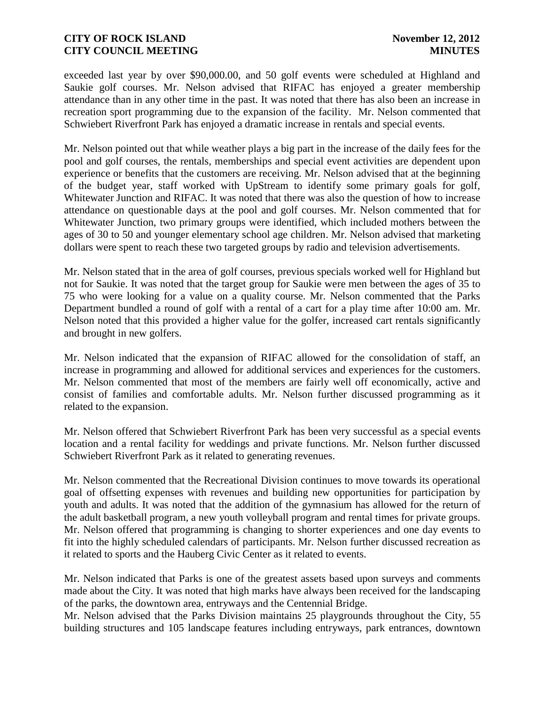exceeded last year by over \$90,000.00, and 50 golf events were scheduled at Highland and Saukie golf courses. Mr. Nelson advised that RIFAC has enjoyed a greater membership attendance than in any other time in the past. It was noted that there has also been an increase in recreation sport programming due to the expansion of the facility. Mr. Nelson commented that Schwiebert Riverfront Park has enjoyed a dramatic increase in rentals and special events.

Mr. Nelson pointed out that while weather plays a big part in the increase of the daily fees for the pool and golf courses, the rentals, memberships and special event activities are dependent upon experience or benefits that the customers are receiving. Mr. Nelson advised that at the beginning of the budget year, staff worked with UpStream to identify some primary goals for golf, Whitewater Junction and RIFAC. It was noted that there was also the question of how to increase attendance on questionable days at the pool and golf courses. Mr. Nelson commented that for Whitewater Junction, two primary groups were identified, which included mothers between the ages of 30 to 50 and younger elementary school age children. Mr. Nelson advised that marketing dollars were spent to reach these two targeted groups by radio and television advertisements.

Mr. Nelson stated that in the area of golf courses, previous specials worked well for Highland but not for Saukie. It was noted that the target group for Saukie were men between the ages of 35 to 75 who were looking for a value on a quality course. Mr. Nelson commented that the Parks Department bundled a round of golf with a rental of a cart for a play time after 10:00 am. Mr. Nelson noted that this provided a higher value for the golfer, increased cart rentals significantly and brought in new golfers.

Mr. Nelson indicated that the expansion of RIFAC allowed for the consolidation of staff, an increase in programming and allowed for additional services and experiences for the customers. Mr. Nelson commented that most of the members are fairly well off economically, active and consist of families and comfortable adults. Mr. Nelson further discussed programming as it related to the expansion.

Mr. Nelson offered that Schwiebert Riverfront Park has been very successful as a special events location and a rental facility for weddings and private functions. Mr. Nelson further discussed Schwiebert Riverfront Park as it related to generating revenues.

Mr. Nelson commented that the Recreational Division continues to move towards its operational goal of offsetting expenses with revenues and building new opportunities for participation by youth and adults. It was noted that the addition of the gymnasium has allowed for the return of the adult basketball program, a new youth volleyball program and rental times for private groups. Mr. Nelson offered that programming is changing to shorter experiences and one day events to fit into the highly scheduled calendars of participants. Mr. Nelson further discussed recreation as it related to sports and the Hauberg Civic Center as it related to events.

Mr. Nelson indicated that Parks is one of the greatest assets based upon surveys and comments made about the City. It was noted that high marks have always been received for the landscaping of the parks, the downtown area, entryways and the Centennial Bridge.

Mr. Nelson advised that the Parks Division maintains 25 playgrounds throughout the City, 55 building structures and 105 landscape features including entryways, park entrances, downtown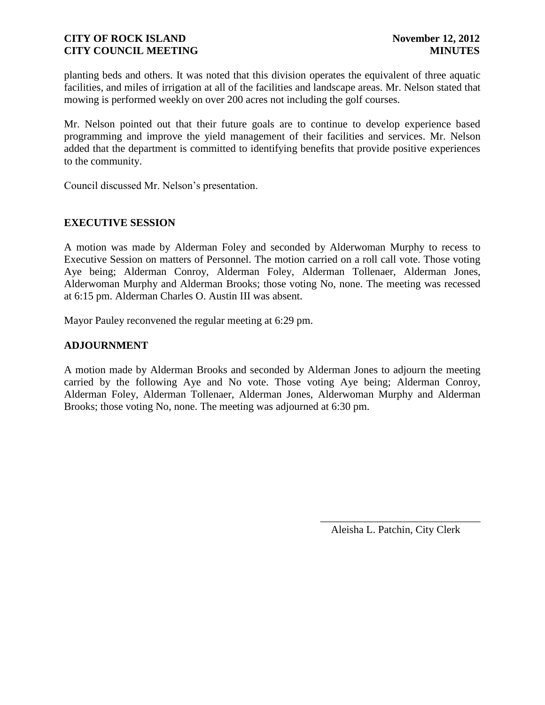planting beds and others. It was noted that this division operates the equivalent of three aquatic facilities, and miles of irrigation at all of the facilities and landscape areas. Mr. Nelson stated that mowing is performed weekly on over 200 acres not including the golf courses.

Mr. Nelson pointed out that their future goals are to continue to develop experience based programming and improve the yield management of their facilities and services. Mr. Nelson added that the department is committed to identifying benefits that provide positive experiences to the community.

Council discussed Mr. Nelson's presentation.

# **EXECUTIVE SESSION**

A motion was made by Alderman Foley and seconded by Alderwoman Murphy to recess to Executive Session on matters of Personnel. The motion carried on a roll call vote. Those voting Aye being; Alderman Conroy, Alderman Foley, Alderman Tollenaer, Alderman Jones, Alderwoman Murphy and Alderman Brooks; those voting No, none. The meeting was recessed at 6:15 pm. Alderman Charles O. Austin III was absent.

Mayor Pauley reconvened the regular meeting at 6:29 pm.

### **ADJOURNMENT**

A motion made by Alderman Brooks and seconded by Alderman Jones to adjourn the meeting carried by the following Aye and No vote. Those voting Aye being; Alderman Conroy, Alderman Foley, Alderman Tollenaer, Alderman Jones, Alderwoman Murphy and Alderman Brooks; those voting No, none. The meeting was adjourned at 6:30 pm.

> \_\_\_\_\_\_\_\_\_\_\_\_\_\_\_\_\_\_\_\_\_\_\_\_\_\_\_\_\_\_ Aleisha L. Patchin, City Clerk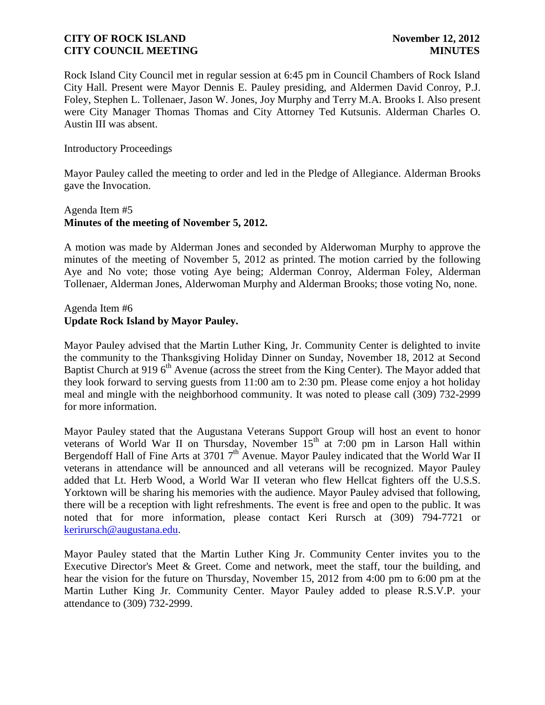Rock Island City Council met in regular session at 6:45 pm in Council Chambers of Rock Island City Hall. Present were Mayor Dennis E. Pauley presiding, and Aldermen David Conroy, P.J. Foley, Stephen L. Tollenaer, Jason W. Jones, Joy Murphy and Terry M.A. Brooks I. Also present were City Manager Thomas Thomas and City Attorney Ted Kutsunis. Alderman Charles O. Austin III was absent.

### Introductory Proceedings

Mayor Pauley called the meeting to order and led in the Pledge of Allegiance. Alderman Brooks gave the Invocation.

# Agenda Item #5 **Minutes of the meeting of November 5, 2012.**

A motion was made by Alderman Jones and seconded by Alderwoman Murphy to approve the minutes of the meeting of November 5, 2012 as printed. The motion carried by the following Aye and No vote; those voting Aye being; Alderman Conroy, Alderman Foley, Alderman Tollenaer, Alderman Jones, Alderwoman Murphy and Alderman Brooks; those voting No, none.

### Agenda Item #6 **Update Rock Island by Mayor Pauley.**

Mayor Pauley advised that the Martin Luther King, Jr. Community Center is delighted to invite the community to the Thanksgiving Holiday Dinner on Sunday, November 18, 2012 at Second Baptist Church at 919 6<sup>th</sup> Avenue (across the street from the King Center). The Mayor added that they look forward to serving guests from 11:00 am to 2:30 pm. Please come enjoy a hot holiday meal and mingle with the neighborhood community. It was noted to please call (309) 732-2999 for more information.

Mayor Pauley stated that the Augustana Veterans Support Group will host an event to honor veterans of World War II on Thursday, November 15<sup>th</sup> at 7:00 pm in Larson Hall within Bergendoff Hall of Fine Arts at 3701  $7<sup>th</sup>$  Avenue. Mayor Pauley indicated that the World War II veterans in attendance will be announced and all veterans will be recognized. Mayor Pauley added that Lt. Herb Wood, a World War II veteran who flew Hellcat fighters off the U.S.S. Yorktown will be sharing his memories with the audience. Mayor Pauley advised that following, there will be a reception with light refreshments. The event is free and open to the public. It was noted that for more information, please contact Keri Rursch at (309) 794-7721 or [kerirursch@augustana.edu.](mailto:kerirursch@augustana.edu)

Mayor Pauley stated that the Martin Luther King Jr. Community Center invites you to the Executive Director's Meet & Greet. Come and network, meet the staff, tour the building, and hear the vision for the future on Thursday, November 15, 2012 from 4:00 pm to 6:00 pm at the Martin Luther King Jr. Community Center. Mayor Pauley added to please R.S.V.P. your attendance to (309) 732-2999.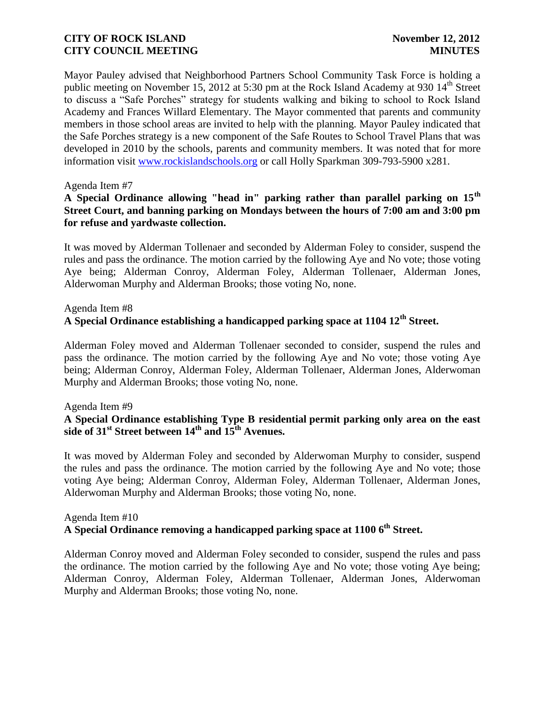Mayor Pauley advised that Neighborhood Partners School Community Task Force is holding a public meeting on November 15, 2012 at 5:30 pm at the Rock Island Academy at 930  $14<sup>th</sup>$  Street to discuss a "Safe Porches" strategy for students walking and biking to school to Rock Island Academy and Frances Willard Elementary. The Mayor commented that parents and community members in those school areas are invited to help with the planning. Mayor Pauley indicated that the Safe Porches strategy is a new component of the Safe Routes to School Travel Plans that was developed in 2010 by the schools, parents and community members. It was noted that for more information visit [www.rockislandschools.org](http://www.rockislandschools.org/) or call Holly Sparkman 309-793-5900 x281.

### Agenda Item #7

# **A Special Ordinance allowing "head in" parking rather than parallel parking on 15th Street Court, and banning parking on Mondays between the hours of 7:00 am and 3:00 pm for refuse and yardwaste collection.**

It was moved by Alderman Tollenaer and seconded by Alderman Foley to consider, suspend the rules and pass the ordinance. The motion carried by the following Aye and No vote; those voting Aye being; Alderman Conroy, Alderman Foley, Alderman Tollenaer, Alderman Jones, Alderwoman Murphy and Alderman Brooks; those voting No, none.

### Agenda Item #8

# **A Special Ordinance establishing a handicapped parking space at 1104 12th Street.**

Alderman Foley moved and Alderman Tollenaer seconded to consider, suspend the rules and pass the ordinance. The motion carried by the following Aye and No vote; those voting Aye being; Alderman Conroy, Alderman Foley, Alderman Tollenaer, Alderman Jones, Alderwoman Murphy and Alderman Brooks; those voting No, none.

#### Agenda Item #9

# **A Special Ordinance establishing Type B residential permit parking only area on the east side of 31st Street between 14th and 15th Avenues.**

It was moved by Alderman Foley and seconded by Alderwoman Murphy to consider, suspend the rules and pass the ordinance. The motion carried by the following Aye and No vote; those voting Aye being; Alderman Conroy, Alderman Foley, Alderman Tollenaer, Alderman Jones, Alderwoman Murphy and Alderman Brooks; those voting No, none.

# Agenda Item #10 **A Special Ordinance removing a handicapped parking space at 1100 6th Street.**

Alderman Conroy moved and Alderman Foley seconded to consider, suspend the rules and pass the ordinance. The motion carried by the following Aye and No vote; those voting Aye being; Alderman Conroy, Alderman Foley, Alderman Tollenaer, Alderman Jones, Alderwoman Murphy and Alderman Brooks; those voting No, none.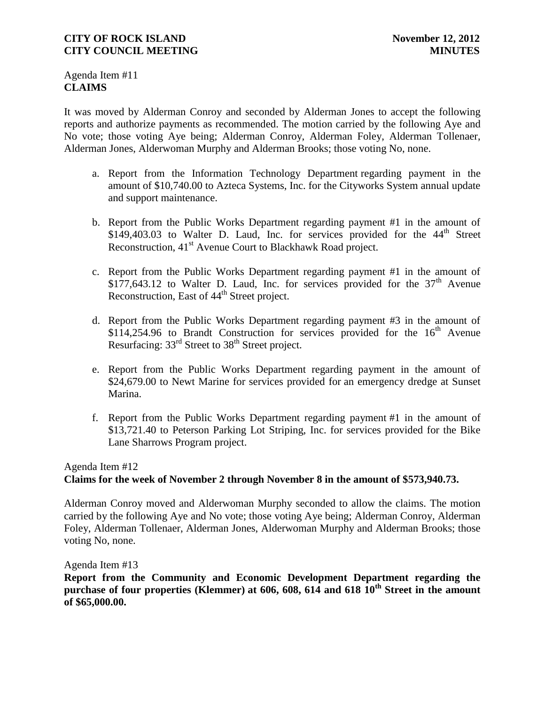Agenda Item #11 **CLAIMS**

It was moved by Alderman Conroy and seconded by Alderman Jones to accept the following reports and authorize payments as recommended. The motion carried by the following Aye and No vote; those voting Aye being; Alderman Conroy, Alderman Foley, Alderman Tollenaer, Alderman Jones, Alderwoman Murphy and Alderman Brooks; those voting No, none.

- a. Report from the Information Technology Department regarding payment in the amount of \$10,740.00 to Azteca Systems, Inc. for the Cityworks System annual update and support maintenance.
- b. Report from the Public Works Department regarding payment #1 in the amount of \$149,403.03 to Walter D. Laud, Inc. for services provided for the  $44<sup>th</sup>$  Street Reconstruction, 41<sup>st</sup> Avenue Court to Blackhawk Road project.
- c. Report from the Public Works Department regarding payment #1 in the amount of \$177,643.12 to Walter D. Laud, Inc. for services provided for the  $37<sup>th</sup>$  Avenue Reconstruction, East of 44<sup>th</sup> Street project.
- d. Report from the Public Works Department regarding payment #3 in the amount of \$114,254.96 to Brandt Construction for services provided for the  $16<sup>th</sup>$  Avenue Resurfacing:  $33<sup>rd</sup>$  Street to  $38<sup>th</sup>$  Street project.
- e. Report from the Public Works Department regarding payment in the amount of \$24,679.00 to Newt Marine for services provided for an emergency dredge at Sunset Marina.
- f. Report from the Public Works Department regarding payment #1 in the amount of \$13,721.40 to Peterson Parking Lot Striping, Inc. for services provided for the Bike Lane Sharrows Program project.

# Agenda Item #12 **Claims for the week of November 2 through November 8 in the amount of \$573,940.73.**

Alderman Conroy moved and Alderwoman Murphy seconded to allow the claims. The motion carried by the following Aye and No vote; those voting Aye being; Alderman Conroy, Alderman Foley, Alderman Tollenaer, Alderman Jones, Alderwoman Murphy and Alderman Brooks; those voting No, none.

Agenda Item #13

**Report from the Community and Economic Development Department regarding the purchase of four properties (Klemmer) at 606, 608, 614 and 618 10th Street in the amount of \$65,000.00.**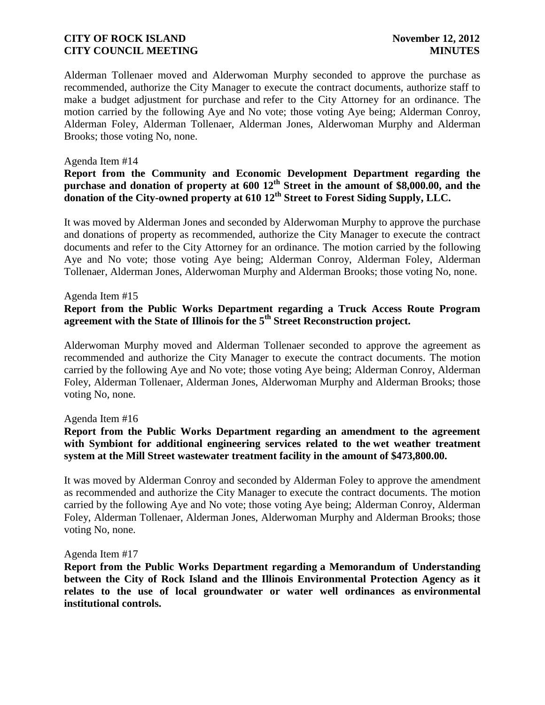Alderman Tollenaer moved and Alderwoman Murphy seconded to approve the purchase as recommended, authorize the City Manager to execute the contract documents, authorize staff to make a budget adjustment for purchase and refer to the City Attorney for an ordinance. The motion carried by the following Aye and No vote; those voting Aye being; Alderman Conroy, Alderman Foley, Alderman Tollenaer, Alderman Jones, Alderwoman Murphy and Alderman Brooks; those voting No, none.

### Agenda Item #14

### **Report from the Community and Economic Development Department regarding the purchase and donation of property at 600 12th Street in the amount of \$8,000.00, and the donation of the City-owned property at 610 12th Street to Forest Siding Supply, LLC.**

It was moved by Alderman Jones and seconded by Alderwoman Murphy to approve the purchase and donations of property as recommended, authorize the City Manager to execute the contract documents and refer to the City Attorney for an ordinance. The motion carried by the following Aye and No vote; those voting Aye being; Alderman Conroy, Alderman Foley, Alderman Tollenaer, Alderman Jones, Alderwoman Murphy and Alderman Brooks; those voting No, none.

### Agenda Item #15

# **Report from the Public Works Department regarding a Truck Access Route Program agreement with the State of Illinois for the 5th Street Reconstruction project.**

Alderwoman Murphy moved and Alderman Tollenaer seconded to approve the agreement as recommended and authorize the City Manager to execute the contract documents. The motion carried by the following Aye and No vote; those voting Aye being; Alderman Conroy, Alderman Foley, Alderman Tollenaer, Alderman Jones, Alderwoman Murphy and Alderman Brooks; those voting No, none.

#### Agenda Item #16

## **Report from the Public Works Department regarding an amendment to the agreement with Symbiont for additional engineering services related to the wet weather treatment system at the Mill Street wastewater treatment facility in the amount of \$473,800.00.**

It was moved by Alderman Conroy and seconded by Alderman Foley to approve the amendment as recommended and authorize the City Manager to execute the contract documents. The motion carried by the following Aye and No vote; those voting Aye being; Alderman Conroy, Alderman Foley, Alderman Tollenaer, Alderman Jones, Alderwoman Murphy and Alderman Brooks; those voting No, none.

#### Agenda Item #17

**Report from the Public Works Department regarding a Memorandum of Understanding between the City of Rock Island and the Illinois Environmental Protection Agency as it relates to the use of local groundwater or water well ordinances as environmental institutional controls.**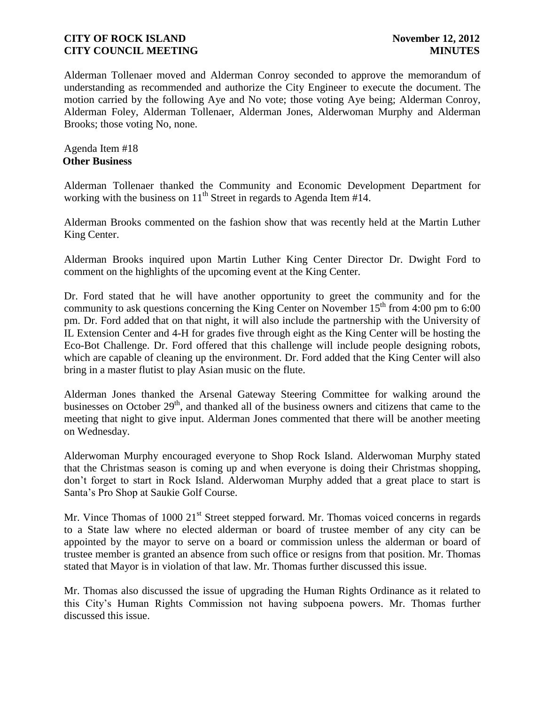Alderman Tollenaer moved and Alderman Conroy seconded to approve the memorandum of understanding as recommended and authorize the City Engineer to execute the document. The motion carried by the following Aye and No vote; those voting Aye being; Alderman Conroy, Alderman Foley, Alderman Tollenaer, Alderman Jones, Alderwoman Murphy and Alderman Brooks; those voting No, none.

Agenda Item #18 **Other Business**

Alderman Tollenaer thanked the Community and Economic Development Department for working with the business on  $11<sup>th</sup>$  Street in regards to Agenda Item #14.

Alderman Brooks commented on the fashion show that was recently held at the Martin Luther King Center.

Alderman Brooks inquired upon Martin Luther King Center Director Dr. Dwight Ford to comment on the highlights of the upcoming event at the King Center.

Dr. Ford stated that he will have another opportunity to greet the community and for the community to ask questions concerning the King Center on November  $15<sup>th</sup>$  from 4:00 pm to 6:00 pm. Dr. Ford added that on that night, it will also include the partnership with the University of IL Extension Center and 4-H for grades five through eight as the King Center will be hosting the Eco-Bot Challenge. Dr. Ford offered that this challenge will include people designing robots, which are capable of cleaning up the environment. Dr. Ford added that the King Center will also bring in a master flutist to play Asian music on the flute.

Alderman Jones thanked the Arsenal Gateway Steering Committee for walking around the businesses on October 29<sup>th</sup>, and thanked all of the business owners and citizens that came to the meeting that night to give input. Alderman Jones commented that there will be another meeting on Wednesday.

Alderwoman Murphy encouraged everyone to Shop Rock Island. Alderwoman Murphy stated that the Christmas season is coming up and when everyone is doing their Christmas shopping, don't forget to start in Rock Island. Alderwoman Murphy added that a great place to start is Santa's Pro Shop at Saukie Golf Course.

Mr. Vince Thomas of 1000 21<sup>st</sup> Street stepped forward. Mr. Thomas voiced concerns in regards to a State law where no elected alderman or board of trustee member of any city can be appointed by the mayor to serve on a board or commission unless the alderman or board of trustee member is granted an absence from such office or resigns from that position. Mr. Thomas stated that Mayor is in violation of that law. Mr. Thomas further discussed this issue.

Mr. Thomas also discussed the issue of upgrading the Human Rights Ordinance as it related to this City's Human Rights Commission not having subpoena powers. Mr. Thomas further discussed this issue.